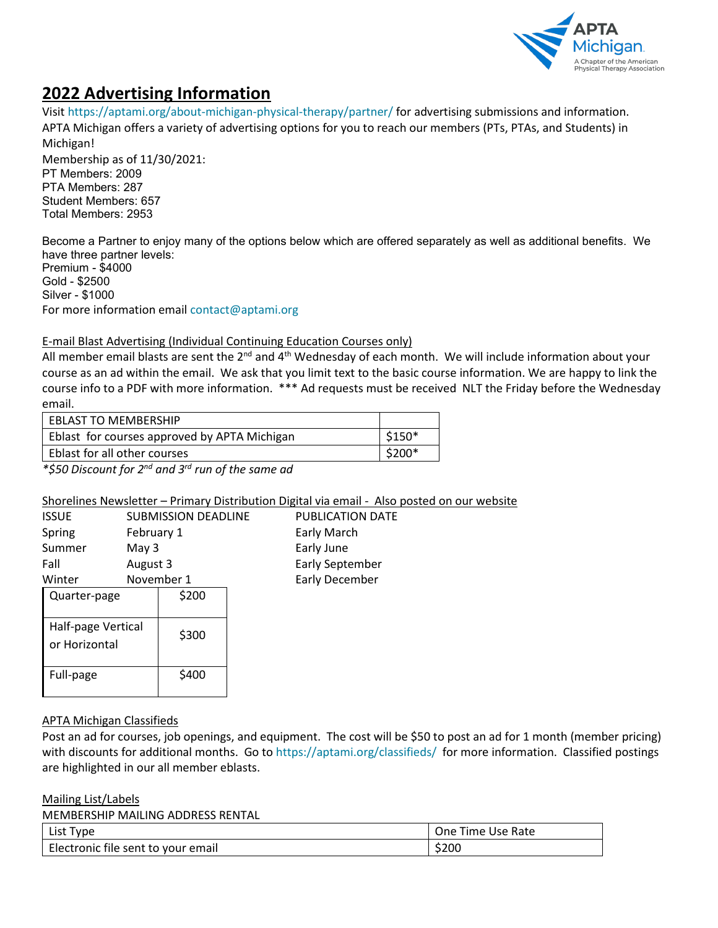

# **2022 Advertising Information**

Visit<https://aptami.org/about-michigan-physical-therapy/partner/> for advertising submissions and information. APTA Michigan offers a variety of advertising options for you to reach our members (PTs, PTAs, and Students) in Michigan!

Membership as of 11/30/2021: PT Members: 2009 PTA Members: 287 Student Members: 657 Total Members: 2953

Become a Partner to enjoy many of the options below which are offered separately as well as additional benefits. We have three partner levels: Premium - \$4000 Gold - \$2500 Silver - \$1000 For more information email [contact@aptami.org](mailto:contact@aptami.org)

## E-mail Blast Advertising (Individual Continuing Education Courses only)

All member email blasts are sent the  $2^{nd}$  and  $4^{th}$  Wednesday of each month. We will include information about your course as an ad within the email. We ask that you limit text to the basic course information. We are happy to link the course info to a PDF with more information. \*\*\* Ad requests must be received NLT the Friday before the Wednesday email.

| $$150*$ |
|---------|
| \$200*  |
|         |

*\*\$50 Discount for 2nd and 3rd run of the same ad*

### Shorelines Newsletter – Primary Distribution Digital via email - Also posted on our website

| ISSUE                               |            | <b>SUBMISSION DEADLI</b> |  |
|-------------------------------------|------------|--------------------------|--|
| Spring                              | February 1 |                          |  |
| Summer                              | May 3      |                          |  |
| Fall                                | August 3   |                          |  |
| Winter                              | November 1 |                          |  |
| Quarter-page                        |            | \$200                    |  |
| Half-page Vertical<br>or Horizontal |            | \$300                    |  |
| Full-page                           |            | \$400                    |  |

INE PUBLICATION DATE Early March Early June Early September Early December

### APTA Michigan Classifieds

Post an ad for courses, job openings, and equipment. The cost will be \$50 to post an ad for 1 month (member pricing) with discounts for additional months. Go to <https://aptami.org/classifieds/> for more information. Classified postings are highlighted in our all member eblasts.

#### Mailing List/Labels

MEMBERSHIP MAILING ADDRESS RENTAL

| List Type                          | One Time Use Rate |
|------------------------------------|-------------------|
| Electronic file sent to your email | \$200             |